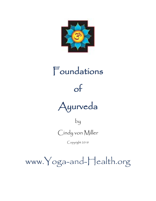

# Foundations of Ayurveda

## by

Cindy von Miller

Copyright 2018

www.Yoga-and-Health.org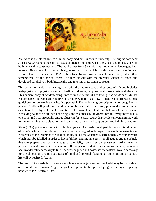

Ayurveda is the oldest system of mind-body medicine known to humanity. The origins date back at least 5,000 years to the spiritual texts of ancient India known as the Vedas and go back deep in both time and in consciousness. The word comes from Sanskrit – the mother of all languages. *Ayur* refers to life as the union of mind, body, senses, and soul which contains energy and vitality, and is considered to be eternal. *Veda* refers to a living wisdom which was heard, rather than remembered, by the ancient sages. It aligns closely with the spiritual science of Yoga and developed parallel to it both historically and in terms of its prime concepts.

This system of health and healing deals with the nature, scope and purpose of life and includes metaphysical and physical aspects of health and disease, happiness and sorrow, pain and pleasure. This ancient body of wisdom brings into view the nature of life through the wisdom of Mother Nature herself. It teaches how to live in harmony with the basic laws of nature and offers a holistic guidebook for awakening our healing potential. The underlying prescription is to recognize the power of self-healing within. Health is a continuous and participatory process that embraces all aspects of life: physical, mental, emotional, behavioral, spiritual, familial, social and universal. Achieving balance on all levels of being is the true measure of vibrant health. Every individual is one-of-a-kind with an equally unique blueprint for health. Ayurveda provides universal framework for understanding these blueprints and teaches us to honor and support our true individual natures.

Stiles (2007) points out the fact that both Yoga and Ayurveda developed during a cultural period of India's history that was broad in its perspective in regard to the significance of human existence. According to the teachings of Classical India, called the Sanatana Dharma, there are four avenues which must be fulfilled in order to live a full life: dharma (the basis for all actions and the vehicle that can prepare one for knowledge of the Self); kama (sensual pleasures); artha (material prosperity); and moksha (self-liberation). If one performs duties in a virtuous manner, maintains health and vitality necessary to fulfill desires, acquires and possesses the material wealth necessary for social position, and pursues peace of mind and spiritual liberation an authentic and actualized life will be realized. (p.2-3)

The goal of Ayurveda is to balance the subtle elements (doshas) so that health may be maintained or restored. For Classical Yoga, the goal is to promote the spiritual progress through deepening practice of the Eightfold Path.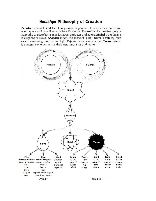### Samkhya Philosophy of Creation

Purusha is unmanifested, formless, passive, beyond attributes, beyond cause and effect, space and time. Purusha is Pure Existence. Prakruti is the creative force of action, the source of form, manifestation, attributes and nature. Mahad is the Cosmic Intelligence or Buddhi. Ahamkar is ego, the sense of "I am." Satva is stability, pure aspect, awakening, essence and light. Rajas is dynamic movement. Tamas is static. It is potential energy, inertia, darkness, ignorance and matter.

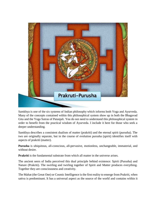

Samkhya is one of the six systems of Indian philosophy which informs both Yoga and Ayurveda. Many of the concepts contained within this philosophical system show up in both the Bhagavad Gita and the Yoga Sutras of Patanjali. You do not need to understand this philosophical system in order to benefit from the practical wisdom of Ayurveda. I include it here for those who seek a deeper understanding.

Samkhya describes a consistent dualism of matter (prakriti) and the eternal spirit (purusha). The two are originally separate, but in the course of evolution purusha (spirit) identifies itself with aspects of prakriti (matter).

**Purusha** is ubiquitous, all-conscious, all-pervasive, motionless, unchangeable, immaterial, and without desire.

**Prakriti** is the fundamental substrate from which all matter in the universe arises.

The ancient seers of India perceived this dual principle behind existence: Spirit (Purusha) and Nature (Prakriti). The swirling and twirling together of Spirit and Matter produces everything. Together they are consciousness and creativity.

The Mahat (the Great One) or Cosmic Intelligence is the first reality to emerge from Prakriti, when sattva is predominant. It has a universal aspect as the source of the world and contains within it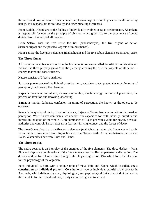the seeds and laws of nature. It also contains a physical aspect as intelligence or buddhi in living beings. It is responsible for rationality and discriminating awareness.

From Buddhi, Ahamkara or the feeling of individuality evolves as rajas predominates. Ahamkara is responsible for ego, or the principle of division which gives rise to the experience of being divided from the unity of all creation.

From Sattva, arise the five sense faculties (panchendriyas), the five organs of action (karmendriyas) and the physical aspects of mind (manas).

From Tamas, the five gross elements (mahabhutas) and the five subtle elements (tanmatras) arise.

#### **The Three Gunas**

All matter in the universe arises from the fundamental substrate called Prakriti. From this ethereal Prakriti the three primary gunas (qualities) emerge creating the essential aspects of all nature energy, matter and consciousness.

Nature consists of 3 basic qualities:

**Sattva** is pure essence of the light of consciousness, vast clear space, potential energy. In terms of perception, the knower; the observer.

**Rajas** is movement, turbulence, change, excitability, kinetic energy. In terms of perception, the process of attention and knowing, observing.

**Tamas** is inertia, darkness, confusion. In terms of perception, the known or the object to be observed.

Sattva is the quality of purity. If out of balance, Rajas and Tamas become impurities that weaken perception. When Sattva dominates, we uncover our capacities for truth, honesty, humility and interest in the good of the whole. A predominance of Rajas generates value for power, prestige, authority and control. Tamas traps us in fear, servility, ignorance, and the forces of decay.

The three Gunas give rise to the five gross elements (mahabhutas) – ether, air, fire, water and earth. From Sattva comes ether; from Rajas fire and from Tamas earth. Air arises between Sattva and Rajas. Water arises between Rajas and Tamas.

#### **The Three Doshas**

The entire cosmos is an interplay of the energies of the five elements. The three doshas – Vata, Pitta and Kapha are combinations of the five elements that manifest as patterns in all creation. The doshas bind the five elements into living flesh. They are agents of DNA which form the blueprint for the physiology of the organism.

Each individual is born with a unique ratio of Vata, Pitta and Kapha which is called one's **constitution or individual prakriti**. Constitutional type or individual prakriti is the concept in Ayurveda, which defines physical, physiological, and psychological traits of an individual and is the template for individualized diet, lifestyle counseling, and treatment.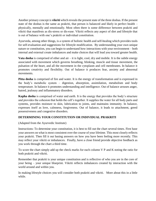Another primary concept is **vikriti** which reveals the present state of the three doshas. If the present state of the doshas is the same as prakriti, that person is balanced and likely in perfect health – physically, mentally and emotionally. Most often there is some difference between prakriti and vikriti that manifests as dis-stress or dis-ease. Vikriti reflects any aspect of diet and lifestyle that is out of balance with one's prakriti or individual constitution.

Ayurveda, among other things, is a system of holistic health and self-healing which provides tools for self-evaluation and suggestions for lifestyle modification. By understanding your own unique nature or constitution, you can begin to understand how interactions with your environment – both internal and external create imbalances and make choices that will lead you toward greater health.

**Vata dosha** is comprised of ether and air – it is light, cool, dry and mobile. It is the subtle energy associated with movement which governs breathing, blinking, muscle and tissue movement, the pulsation of the heart, and all the movement in the cytoplasm and cell membranes. In balance it promotes creativity and flexibility. Out of balance it produces fear, anxiety and abnormal movements.

**Pitta dosha** is comprised of fire and water. It is the energy of transformation and is expressed in the body's metabolic system – digestion, absorption, assimilation, metabolism and body temperature. In balance it promotes understanding and intelligence. Out of balance arouses anger, hatred, jealousy and inflammatory disorders.

**Kapha dosha** is comprised of water and earth. It is the energy that provides the body's structure and provides the cohesion that holds the cell's together. It supplies the water for all body parts and systems, provides moisture to skin, lubrication to joints, and maintains immunity. In balance, expresses itself as love, calmness, forgiveness. Out of balance, it leads to attachment, greed possessiveness and congestive disorders.

#### **DETERMINING YOUR CONSTITUTION OR INDIVIDUAL PRAKRITI**

(Adapted from the Ayurvedic Institute)

Instructions: To determine your constitution, it is best to fill out the chart several times. First base your answers on what is most consistent over the course of your lifetime. This most closely reflects your prakriti. Then fill it out basing answers on how you have been feeling more recently. This may reflect your vikriti or imbalances. Finally, have a close friend provide objective feedback as you work through the chart a third time.

To score the chart simply add up the check marks for each column V P and K noting the ratio for both prakriti and vikriti.

Remember that prakriti is your unique constitution and is reflective of who you are in the core of your being – your unique blueprint. Vikriti reflects imbalances created by interaction with the world around and within you.

In making lifestyle choices you will consider both prakriti and vikriti. More about this in a little while.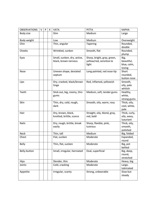| <b>OBSERVATIONS</b> | $\vee$ | P | К | <b>VATA</b>                 | <b>PITTA</b>                 | <b>KAPHA</b>        |
|---------------------|--------|---|---|-----------------------------|------------------------------|---------------------|
| Body size           |        |   |   | Slim                        | Medium                       | Large               |
| Body weight         |        |   |   | Low                         | Medium                       | Overweight          |
| Chin                |        |   |   | Thin, angular               | Tapering                     | Rounded,            |
|                     |        |   |   |                             |                              | double              |
| Cheeks              |        |   |   | Wrinkled, sunken            | Smooth, flat                 | Rounded,            |
|                     |        |   |   |                             |                              | plump               |
| Eyes                |        |   |   | Small, sunken, dry, active, | Sharp, bright, gray, green,  | Big,                |
|                     |        |   |   | black, brown nervous        | yellow/red, sensitive to     | beautiful,          |
|                     |        |   |   |                             | light                        | blue, calm,         |
|                     |        |   |   |                             |                              | loving              |
| Nose                |        |   |   | Uneven shape, deviated      | Long pointed, red nose-tip   | Short               |
|                     |        |   |   | septum                      |                              | rounded,            |
|                     |        |   |   |                             |                              | button nose         |
| Lips                |        |   |   | Dry, cracked, black/brown   | Red, inflamed, yellowish     | Smooth,             |
|                     |        |   |   | tinge                       |                              | oily, pale          |
|                     |        |   |   |                             |                              | whitish             |
| Teeth               |        |   |   | Stick out, big, roomy, thin | Medium, soft, tender gums    | Healthy,            |
|                     |        |   |   | gums                        |                              | white,              |
|                     |        |   |   |                             |                              | strong gums         |
| Skin                |        |   |   | Thin, dry, cold, rough,     | Smooth, oily, warm, rosy     | Thick, oily,        |
|                     |        |   |   | dark                        |                              | cool, white,        |
|                     |        |   |   |                             |                              | pale                |
| Hair                |        |   |   | Dry, brown, black,          | Straight, oily, blond, gray, | Thick, curly,       |
|                     |        |   |   | knotted, brittle, scarce    | red, bald                    | oily, wavy,         |
|                     |        |   |   |                             |                              | luxuriant           |
| <b>Nails</b>        |        |   |   | Dry, rough, brittle, break  | Sharp, flexible, pink,       | Thick, oily,        |
|                     |        |   |   | easily                      | lustrous                     | smooth,<br>polished |
| <b>Neck</b>         |        |   |   | Thin, tall                  | Medium                       | Big, folded         |
| Chest               |        |   |   | Flat, sunken                | Moderate                     | Expanded,           |
|                     |        |   |   |                             |                              | round               |
| <b>Belly</b>        |        |   |   | Thin, flat, sunken          | Moderate                     | Big, pot            |
|                     |        |   |   |                             |                              | bellied             |
| Belly-button        |        |   |   | Small, irregular, herniated | Oval, superficial            | Big, deep,          |
|                     |        |   |   |                             |                              | round,              |
|                     |        |   |   |                             |                              | stretched           |
| <b>Hips</b>         |        |   |   | Slender, thin               | Moderate                     | Heavy, big          |
| Joints              |        |   |   | Cold, cracking              | Moderate                     | Large,              |
|                     |        |   |   |                             |                              | lubricated          |
| Appetite            |        |   |   | Irregular, scanty           | Strong, unbearable           | Slow but            |
|                     |        |   |   |                             |                              | steady              |
|                     |        |   |   |                             |                              |                     |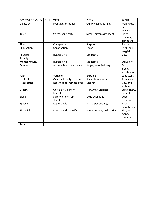| <b>OBSERVATIONS</b>    | V | P | K | <b>VATA</b>                | <b>PITTA</b>              | <b>KAPHA</b> |
|------------------------|---|---|---|----------------------------|---------------------------|--------------|
| Digestion              |   |   |   | Irregular, forms gas       | Quick, causes burning     | Prolonged,   |
|                        |   |   |   |                            |                           | forms        |
|                        |   |   |   |                            |                           | mucous       |
| Taste                  |   |   |   | Sweet, sour, salty         | Sweet, bitter, astringent | Bitter,      |
|                        |   |   |   |                            |                           | pungent,     |
|                        |   |   |   |                            |                           | astringent   |
| Thirst                 |   |   |   | Changeable                 | Surplus                   | Sparse       |
| Elimination            |   |   |   | Constipation               | Loose                     | Thick, oily, |
|                        |   |   |   |                            |                           | sluggish     |
| Physical               |   |   |   | Hyperactive                | Moderate                  | Slow         |
| Activity               |   |   |   |                            |                           |              |
| <b>Mental Activity</b> |   |   |   | Hyperactive                | Moderate                  | Dull, slow   |
| Emotions               |   |   |   | Anxiety, fear, uncertainty | Anger, hate, jealousy     | Calm,        |
|                        |   |   |   |                            |                           | greedy,      |
|                        |   |   |   |                            |                           | attachment   |
| Faith                  |   |   |   | Variable                   | Extremist                 | Consistent   |
| Intellect              |   |   |   | Quick but faulty response  | Accurate response         | Slow, exact  |
| Recollection           |   |   |   | Recent good, remote poor   | <b>Distinct</b>           | Slow and     |
|                        |   |   |   |                            |                           | sustained    |
| <b>Dreams</b>          |   |   |   | Quick, active, many,       | Fiery, war, violence      | Lakes, snow, |
|                        |   |   |   | fearful                    |                           | romantic     |
| Sleep                  |   |   |   | Scanty, broken up,         | Little but sound          | Deep,        |
|                        |   |   |   | sleeplessness              |                           | prolonged    |
| Speech                 |   |   |   | Rapid, unclear             | Sharp, penetrating        | Slow,        |
|                        |   |   |   |                            |                           | monotonous   |
| Financial              |   |   |   | Poor, spends on trifles    | Spends money on luxuries  | Rich, good   |
|                        |   |   |   |                            |                           | money        |
|                        |   |   |   |                            |                           | preserver    |
|                        |   |   |   |                            |                           |              |
| Total                  |   |   |   |                            |                           |              |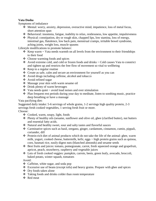#### **Vata Dosha**

Symptoms of imbalance

- ❖ Mental: worry, anxiety, depression, overactive mind, impatience, loss of metal focus, short attention span
- ❖ Behavioral: insomnia, fatigue, inability to relax, restlessness, low appetite, impulsiveness
- ❖ Physical: constipation, dry or rough skin, chapped lips, low stamina, loss of energy, intestinal gas, flatulence, low back pain, menstrual cramps, irritable bowel syndrome, aching joints, weight loss, muscle spasms

Lifestyle modifications to promote balance:

- $\triangleleft$  Keep warm  $\sim$  Vata needs warmth on all levels from the environment to their friendships to their food
- ❖ Choose warming foods and spices
- ❖ Avoid extreme cold, and cold or frozen foods and drinks ~ Cold causes Vata to constrict and tighten up and restricts the free flow of movement so vital to wellbeing
- ❖ Keep to a regular routine
- ❖ Create as safe, calm and secure an environment for yourself as you can
- ❖ Avoid drugs including caffeine, alcohol and tobacco
- ❖ Avoid refined sugar
- ❖ Massage your skin with warm sesame oil
- ❖ Drink plenty of warm beverages
- $\cdot$  Vata needs quiet ~ avoid loud noises and over stimulation
- ❖ Plan frequent rest periods during your day to meditate, listen to soothing music, practice deep breathing or have a massage

Vata pacifying diet:

Suggested daily intake: 5-6 servings of whole grains, 1-2 servings high quality protein, 2-3 servings fresh cooked vegetables, 1 serving fresh fruit or more.

Choose:

- ❖ Cooked, warm, soupy, light, foods
- ❖ Plenty of healthy oils (sesame, sunflower and olive oil, ghee (clarified butter), nut butters and essential fatty acids.
- ❖ Natural and healthy sweet, sour and salty tastes and flavorful sauces
- ❖ Carminative spices such as basil, oregano, ginger, cardamom, cinnamon, cumin, pippali, coriander, dill
- ❖ Protein-rich diet of animal products which do not take the life of the animal: ghee, warm milk, yogurt, cooked cheese, buttermilk, kefir, eggs ~ high protein grains such as quinoa, corn, basmati rice, easily digest nuts (blanched almonds) and sesame seeds
- ❖ Best fruits and juices: tomato, pomegranate, carrot, fresh squeezed orange and grapefruit, apricot, peach, strawberry, raspberry and vegetable juices
- ❖ Lots of fresh cooked veggies: pumpkin, carrots, beets, green leafy, avocado, broccoli, baked potato, winter squash, tomatoes

Avoid:

- ❖ Caffeine, white sugar, and soda pop
- $\triangle$  Excessive use of beans (except tofu) and heavy grains. Prepare with ghee and spices
- ❖ Dry foods taken alone
- ❖ Taking foods and drinks colder than room temperature
- ❖ Red meat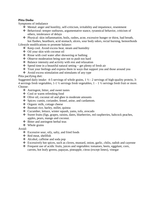#### **Pitta Dosha**

Symptoms of imbalance

- $\triangle$  Mental: anger and hostility, self-criticism, irritability and impatience, resentment
- ❖ Behavioral: temper outbursts, argumentative stance, tyrannical behavior, criticism of others, intolerance of delays
- ❖ Physical: skin inflammation, boils, rashes, acne, excessive hunger or thirst, bad breath, hot flashes, heartburn, acid stomach, ulcers, sour body odors, rectal burning, hemorrhoids

Lifestyle modifications to promote balance:

- ❖ Keep cool. Avoid excess heat, steam and humidity
- ❖ Oil your skin with coconut oil
- ❖ Rinse with cool water after showering or bathing
- ❖ Observe moderation being sure not to push too hard
- ❖ Balance intensity and activity with rest and relaxation
- ❖ Spend time in a beautiful natural setting ~ get plenty of fresh air
- ❖ Trust your feelings and express them in ways that support you and those around you
- ❖ Avoid excess stimulation and stimulants of any type

#### Pitta pacifying diet:

Suggested daily intake: 4-5 servings of whole grains,  $1\frac{1}{2}$  - 2 servings of high-quality protein, 3-4 servings fresh vegetables, 1-1  $\frac{1}{2}$  servings fresh vegetables, 1 – 1  $\frac{1}{2}$  servings fresh fruit or more. Choose:

- ❖ Astringent, bitter, and sweet tastes
- ❖ Cool or warm refreshing food
- ❖ Olive oil, coconut oil and ghee in moderate amounts
- ❖ Spices: cumin, coriander, fennel, anise, and cardamom.
- ❖ Organic milk, cottage cheese
- ❖ Basmati rice, barley, millet, quinoa
- ❖ Cucumber, lettuce, winter squash, yams, tofu, avocado
- ❖ Sweet fruits (figs, grapes, raisins, dates, blueberries, red raspberries, babcock peaches, apples, pears, mango and coconut.
- ❖ Bitter and astringent herbal teas
- ❖ Whole grains

Avoid:

- ❖ Excessive sour, oily, salty, and fried foods
- ❖ Red meat, shellfish
- ❖ Alcohol, caffeine and soda pop
- ❖ Excessively hot spices, such as cloves, mustard, onion, garlic, chilis, radish and cayenne
- ❖ Frequent use of acidic fruits, juices and vegetables: tomatoes, beets, eggplant, corn, carrots, hot leafy greens, papayas, pineapple, citrus (except limes), vinegar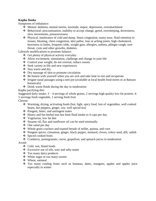#### **Kapha Dosha**

Symptoms of imbalance:

- ❖ Mental: dullness, mental inertia, lassitude, stupor, depression, overattachment
- ❖ Behavioral: procrastination, inability to accept change, greed, oversleeping, drowsiness, slow movements, possessiveness
- ❖ Physical: intolerance of cold and damp. Sinus congestion, runny nose, fluid retention in tissues, bloating, chest congestion, skin pallor, lose or aching joints, high cholesterol, heaviness in limbs, frequent colds, weight gain, allergies, asthma, phlegm cough, sore throat, cysts and other growths, diabetes.

Lifestyle modifications to promote balance:

- ❖ Get plenty of physical activity everyday
- ❖ Allow excitement, stimulation, challenge and change in your life
- ❖ Control your weight; do not overeat; reduce sweets
- ❖ Seek variety in life and new experiences
- ❖ Stay warm and dry.
- ❖ Dry massage of skin to promote circulation
- ❖ Be honest with yourself when you are sick and take time to rest and recuperate
- ❖ Irrigate nasal passages using a neti pot (available at local health food stores or at Banyan botanicals)
- ❖ Drink warm fluids during the day in moderation

Kapha pacifying diet:

Suggested daily intake:  $3 - 4$  servings of whole grains, 2 servings high quality low-fat protein, 4-5 servings fresh vegetable, 1 serving fresh fruit

Choose:

- ❖ Warming, drying, activating foods (hot, light, spicy food, lots of vegetables, well cooked beans, hot peppers, ginger, soy, well spiced tea)
- ❖ Pungent, bitter, and astringent tastes
- $\triangle$  Honey and hot herbal teas but limit fluid intake to 4 cups per day
- ❖ Vegetarian, low fat diet
- ❖ Sesame oil, flax and sunflower oil can be used minimally
- ❖ One salad per day
- ❖ Whole grain crackers and toasted breads of millet, quinoa, and corn
- ❖ Pungent spices: cinnamon, ginger, black pepper, mustard, cloves, celery seed, dill, radish
- ❖ Spiced cooked fruits
- ❖ Cranberry, pomegranate, carrot, grapefruit, and spinach juices in moderation

Avoid:

- ❖ Cold, wet, bland foods
- ❖ Excessive use of oils, sour and salty tastes
- ❖ Too many dairy products
- ❖ White sugar or too many sweets
- ❖ Wheat, oatmeal
- ❖ Too many cooling fruits such as bananas, dates, mangoes, apples and apples juice especially in winter